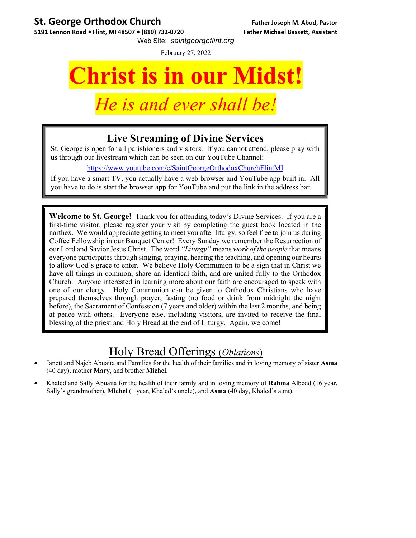## **St. George Orthodox Church Father Joseph M. Abud, Pastor**

**5191 Lennon Road • Flint, MI 48507 • (810) 732‐0720 Father Michael Bassett, Assistant** Web Site: *saintgeorgeflint.org*

February 27, 2022

# **Christ is in our Midst!**

## *Le is and ever shall be*

## **Live Streaming of Divine Services**

St. George is open for all parishioners and visitors. If you cannot attend, please pray with us through our livestream which can be seen on our YouTube Channel:

https://www.youtube.com/c/SaintGeorgeOrthodoxChurchFlintMI

If you have a smart TV, you actually have a web browser and YouTube app built in. All you have to do is start the browser app for YouTube and put the link in the address bar.

**Welcome to St. George!** Thank you for attending today's Divine Services. If you are a first-time visitor, please register your visit by completing the guest book located in the narthex. We would appreciate getting to meet you after liturgy, so feel free to join us during Coffee Fellowship in our Banquet Center! Every Sunday we remember the Resurrection of our Lord and Savior Jesus Christ. The word *"Liturgy"* means *work of the people* that means everyone participates through singing, praying, hearing the teaching, and opening our hearts to allow God's grace to enter. We believe Holy Communion to be a sign that in Christ we have all things in common, share an identical faith, and are united fully to the Orthodox Church. Anyone interested in learning more about our faith are encouraged to speak with one of our clergy. Holy Communion can be given to Orthodox Christians who have prepared themselves through prayer, fasting (no food or drink from midnight the night before), the Sacrament of Confession (7 years and older) within the last 2 months, and being at peace with others. Everyone else, including visitors, are invited to receive the final blessing of the priest and Holy Bread at the end of Liturgy. Again, welcome!

## Holy Bread Offerings (*Oblations*)

- Janett and Najeb Abuaita and Families for the health of their families and in loving memory of sister **Asma** (40 day), mother **Mary**, and brother **Michel**.
- Khaled and Sally Abuaita for the health of their family and in loving memory of **Rahma** Albedd (16 year, Sally's grandmother), **Michel** (1 year, Khaled's uncle), and **Asma** (40 day, Khaled's aunt).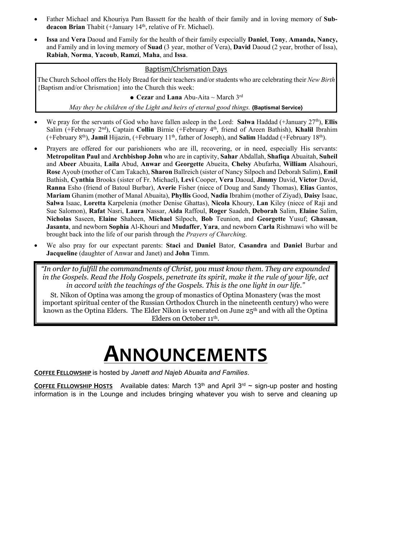- Father Michael and Khouriya Pam Bassett for the health of their family and in loving memory of **Subdeacon Brian** Thabit (+January 14<sup>th</sup>, relative of Fr. Michael).
- **Issa** and **Vera** Daoud and Family for the health of their family especially **Daniel**, **Tony**, **Amanda, Nancy,**  and Family and in loving memory of **Suad** (3 year, mother of Vera), **David** Daoud (2 year, brother of Issa), **Rabiah**, **Norma**, **Yacoub**, **Ramzi**, **Maha**, and **Issa**.

#### Baptism/Chrismation Days

The Church School offers the Holy Bread for their teachers and/or students who are celebrating their *New Birth* {Baptism and/or Chrismation} into the Church this week:

**Cezar** and **Lana** Abu-Aita ~ March 3rd

*May they be children of the Light and heirs of eternal good things.* **{Baptismal Service}** 

- We pray for the servants of God who have fallen asleep in the Lord: Salwa Haddad (+January 27<sup>th</sup>), **Ellis** Salim (+February 2nd), Captain **Collin** Birnie (+February 4th, friend of Areen Bathish), **Khalil** Ibrahim (+February 8th), **Jamil** Hijazin, (+February 11th, father of Joseph), and **Salim** Haddad (+February 18th).
- Prayers are offered for our parishioners who are ill, recovering, or in need, especially His servants: **Metropolitan Paul** and **Archbishop John** who are in captivity, **Sahar** Abdallah, **Shafiqa** Abuaitah, **Suheil**  and **Abeer** Abuaita, **Laila** Abud, **Anwar** and **Georgette** Abueita, **Chelsy** Abufarha, **William** Alsahouri, **Rose** Ayoub (mother of Cam Takach), **Sharon** Ballreich (sister of Nancy Silpoch and Deborah Salim), **Emil** Bathish, **Cynthia** Brooks (sister of Fr. Michael), **Levi** Cooper, **Vera** Daoud, **Jimmy** David, **Victor** David, **Ranna** Esho (friend of Batoul Burbar), **Averie** Fisher (niece of Doug and Sandy Thomas), **Elias** Gantos, **Mariam** Ghanim (mother of Manal Abuaita), **Phyllis** Good, **Nadia** Ibrahim (mother of Ziyad), **Daisy** Isaac, **Salwa** Isaac, **Loretta** Karpelenia (mother Denise Ghattas), **Nicola** Khoury, **Lan** Kiley (niece of Raji and Sue Salomon), **Rafat** Nasri, **Laura** Nassar, **Aida** Raffoul, **Roger** Saadeh, **Deborah** Salim, **Elaine** Salim, **Nicholas** Saseen, **Elaine** Shaheen, **Michael** Silpoch, **Bob** Teunion, and **Georgette** Yusuf; **Ghassan**, **Jasanta**, and newborn **Sophia** Al-Khouri and **Mudaffer**, **Yara**, and newborn **Carla** Rishmawi who will be brought back into the life of our parish through the *Prayers of Churching*.
- We also pray for our expectant parents: **Staci** and **Daniel** Bator, **Casandra** and **Daniel** Burbar and **Jacqueline** (daughter of Anwar and Janet) and **John** Timm.

*"In order to fulfill the commandments of Christ, you must know them. They are expounded in the Gospels. Read the Holy Gospels, penetrate its spirit, make it the rule of your life, act in accord with the teachings of the Gospels. This is the one light in our life."* 

St. Nikon of Optina was among the group of monastics of Optina Monastery (was the most important spiritual center of the Russian Orthodox Church in the nineteenth century) who were known as the Optina Elders. The Elder Nikon is venerated on June  $25<sup>th</sup>$  and with all the Optina Elders on October 11th.

## **ANNOUNCEMENTS**

**COFFEE FELLOWSHIP** is hosted by *Janett and Najeb Abuaita and Families*.

**COFFEE FELLOWSHIP HOSTS** Available dates: March 13<sup>th</sup> and April 3<sup>rd</sup>  $\sim$  sign-up poster and hosting information is in the Lounge and includes bringing whatever you wish to serve and cleaning up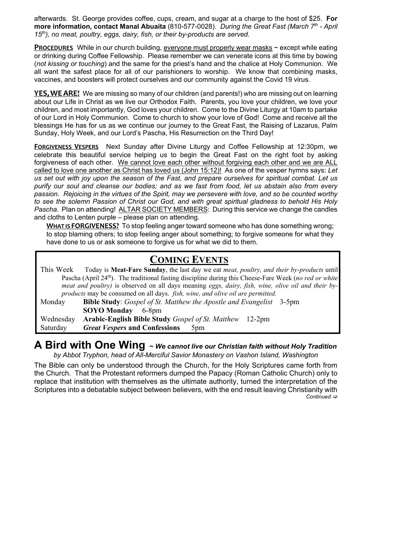afterwards. St. George provides coffee, cups, cream, and sugar at a charge to the host of \$25. **For more information, contact Manal Abuaita** (810-577-0028). *During the Great Fast (March 7th - April 15th), no meat, poultry, eggs, dairy, fish, or their by-products are served.* 

**PROCEDURES** While in our church building, everyone must properly wear masks ~ except while eating or drinking during Coffee Fellowship. Please remember we can venerate icons at this time by bowing (*not kissing or touching*) and the same for the priest's hand and the chalice at Holy Communion. We all want the safest place for all of our parishioners to worship. We know that combining masks, vaccines, and boosters will protect ourselves and our community against the Covid 19 virus.

YES, WEARE! We are missing so many of our children (and parents!) who are missing out on learning about our Life in Christ as we live our Orthodox Faith. Parents, you love your children, we love your children, and most importantly, God loves your children. Come to the Divine Liturgy at 10am to partake of our Lord in Holy Communion. Come to church to show your love of God! Come and receive all the blessings He has for us as we continue our journey to the Great Fast, the Raising of Lazarus, Palm Sunday, Holy Week, and our Lord's Pascha, His Resurrection on the Third Day!

**FORGIVENESS VESPERS** Next Sunday after Divine Liturgy and Coffee Fellowship at 12:30pm, we celebrate this beautiful service helping us to begin the Great Fast on the right foot by asking forgiveness of each other. We cannot love each other without forgiving each other and we are ALL called to love one another as Christ has loved us (John 15:12)! As one of the vesper hymns says: *Let us set out with joy upon the season of the Fast, and prepare ourselves for spiritual combat. Let us purify our soul and cleanse our bodies; and as we fast from food, let us abstain also from every passion. Rejoicing in the virtues of the Spirit, may we persevere with love, and so be counted worthy to see the solemn Passion of Christ our God, and with great spiritual gladness to behold His Holy Pascha.* Plan on attending! ALTAR SOCIETY MEMBERS: During this service we change the candles and cloths to Lenten purple – please plan on attending.

**WHAT IS FORGIVENESS?** To stop feeling anger toward someone who has done something wrong; to stop blaming others; to stop feeling anger about something; to forgive someone for what they have done to us or ask someone to forgive us for what we did to them.

### **COMING EVENTS**

| This Week                                                                                                          | Today is <b>Meat-Fare Sunday</b> , the last day we eat <i>meat</i> , <i>poultry</i> , <i>and their by-products</i> until |
|--------------------------------------------------------------------------------------------------------------------|--------------------------------------------------------------------------------------------------------------------------|
| Pascha (April 24 <sup>th</sup> ). The traditional fasting discipline during this Cheese-Fare Week (no red or white |                                                                                                                          |
| meat and poultry) is observed on all days meaning eggs, dairy, fish, wine, olive oil and their by-                 |                                                                                                                          |
|                                                                                                                    | products may be consumed on all days. <i>fish, wine, and olive oil are permitted</i> .                                   |
| Monday                                                                                                             | <b>Bible Study:</b> Gospel of St. Matthew the Apostle and Evangelist 3-5pm                                               |
|                                                                                                                    | <b>SOYO Monday</b> 6-8pm                                                                                                 |
| Wednesday                                                                                                          | <b>Arabic-English Bible Study</b> <i>Gospel of St. Matthew</i> 12-2pm                                                    |
| Saturday                                                                                                           | <i>Great Vespers</i> and Confessions<br>5 <sub>pm</sub>                                                                  |

### **A Bird with One Wing <sup>~</sup>** *We cannot live our Christian faith without Holy Tradition*

*by Abbot Tryphon, head of All-Merciful Savior Monastery on Vashon Island, Washington* 

The Bible can only be understood through the Church, for the Holy Scriptures came forth from the Church. That the Protestant reformers dumped the Papacy (Roman Catholic Church) only to replace that institution with themselves as the ultimate authority, turned the interpretation of the Scriptures into a debatable subject between believers, with the end result leaving Christianity with *Continued*